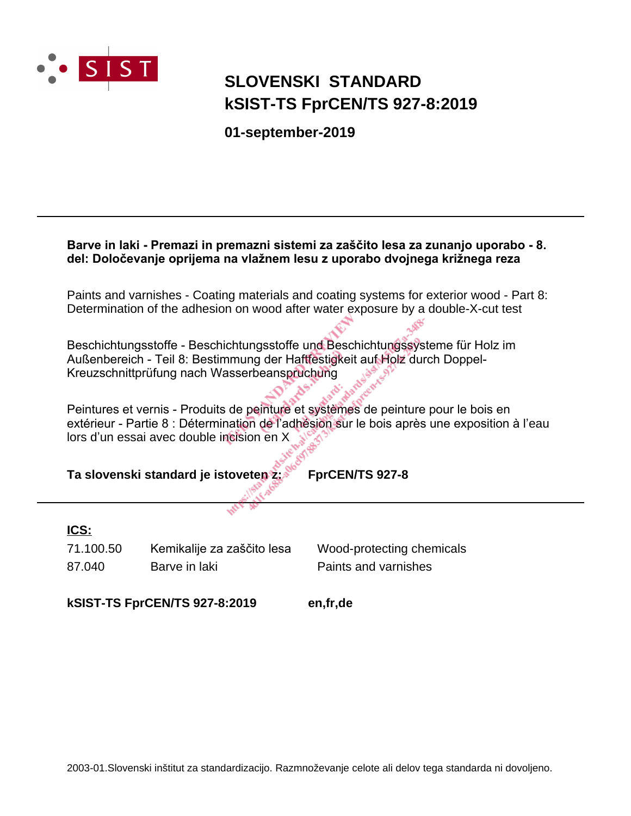

# **SLOVENSKI STANDARD kSIST-TS FprCEN/TS 927-8:2019**

**01-september-2019**

## **Barve in laki - Premazi in premazni sistemi za zaščito lesa za zunanjo uporabo - 8. del: Določevanje oprijema na vlažnem lesu z uporabo dvojnega križnega reza**

Paints and varnish[�'>es - Coating materials and coating systems for exterio](�����d�r�٬U3-��il�F�u�^��օ*soĕ�b��+���`=)r wood - Part 8: Determination of the adhesion on wood after water exposure by a double-X-cut test

Beschichtungsstoffe - Beschichtungsstoffe und Beschichtungssysteme für Holz im Außenbereich - Teil 8: Bestimmung der Haftfestigkeit auf Holz durch Doppel-Kreuzschnittprüfung nach Wasserbeanspruchung

Peintures et vernis - Produits de peinture et systèmes de peinture pour le bois en extérieur - Partie 8 : Détermination de l'adhésion sur le bois après une exposition à l'eau lors d'un essai avec double incision en X

**Ta slovenski standard je istoveten z: FprCEN/TS 927-8**

# **ICS:**

71.100.50 Kemikalije za zaščito lesa Wood-protecting chemicals 87.040 Barve in laki **Paints and varnishes** 

**kSIST-TS FprCEN/TS 927-8:2019 en,fr,de**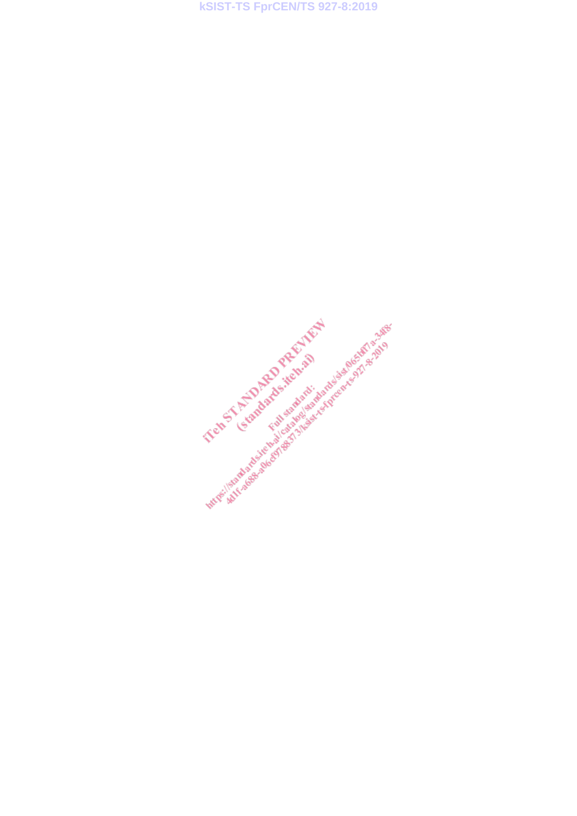International and other than the development of the state of the state of the state of the state of the state of the state of the state of the state of the state of the state of the state of the state of the state of the s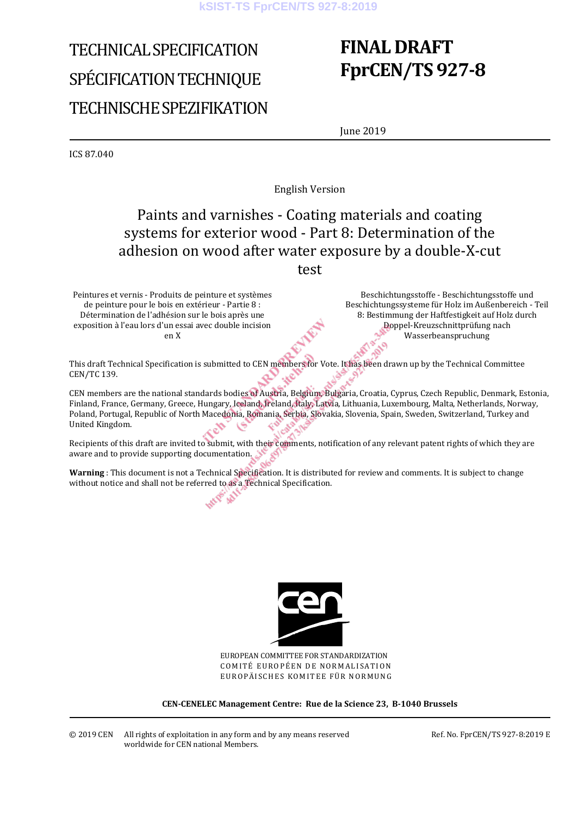# TECHNICAL SPECIFICATION SPÉCIFICATION TECHNIQUE TECHNISCHE SPEZIFIKATION

# **FINAL DRAFT FprCEN/TS 927-8**

June 2019

ICS 87.040

English Version

# Paints and varnishes - Coating materials and coating systems for exterior wood - Part 8: Determination of the adhesion on wood after water exposure by a double-X-cut test

Peintures et vernis - Produits de peinture et systèmes de peinture pour le bois en extérieur - Partie 8 : Détermination de l'adhésion sur le bois après une exposition à l'eau lors d'un essai avec double incision en X

 Beschichtungsstoffe - Beschichtungsstoffe und Beschichtungssysteme für Holz im Außenbereich - Teil 8: Bestimmung der Haftfestigkeit auf Holz durch Doppel-Kreuzschnittprüfung nach Wasserbeanspruchung

This draft Technical S[pecification is submitted to CEN members for Vote. It has been drawn up by](�Fq:������=o��ƍ�r�)"q�!�ֽC������m���"F��5�[�����ǖ�U���2�y����y��Jȿ!/g�k�
�6���O��f�}��_��qM��޳��) the Technical Committee CEN/TC 139.

CEN members are the national standards bodies of Austria, Belgium, Bulgaria, Croatia, Cyprus, Czech Republic, Denmark, Estonia, Finland, France, Germany, Greece, Hungary, Iceland, Ireland, Italy, Latvia, Lithuania, Luxembourg, Malta, Netherlands, Norway, Poland, Portugal, Republic of North Macedonia, Romania, Serbia, Slovakia, Slovenia, Spain, Sweden, Switzerland, Turkey and United Kingdom.

Recipients of this draft are invited to submit, with their comments, notification of any relevant patent rights of which they are aware and to provide supporting documentation.

**Warning** : This document is not a Technical Specification. It is distributed for review and comments. It is subject to change without notice and shall not be referred to as a Technical Specification.



EUROPEAN COMMITTEE FOR STANDARDIZATION COMITÉ EUROPÉEN DE NORMALISATION EUROPÄISCHES KOMITEE FÜR NORMUNG

**CEN-CENELEC Management Centre: Rue de la Science 23, B-1040 Brussels** 

Ref. No. FprCEN/TS 927-8:2019 E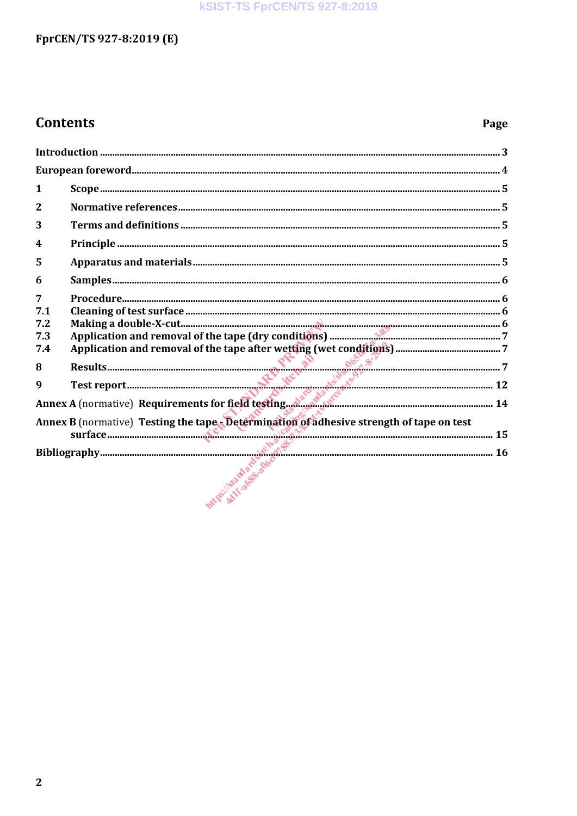# FprCEN/TS 927-8:2019 (E)

# **Contents**

# Page

| 1                |                                                                                                            |  |
|------------------|------------------------------------------------------------------------------------------------------------|--|
| $\overline{2}$   |                                                                                                            |  |
| 3                |                                                                                                            |  |
| $\boldsymbol{4}$ |                                                                                                            |  |
| 5                |                                                                                                            |  |
| 6                |                                                                                                            |  |
| 7.1              |                                                                                                            |  |
| 7.2              |                                                                                                            |  |
| 7.3<br>7.4       |                                                                                                            |  |
| 8                |                                                                                                            |  |
|                  |                                                                                                            |  |
|                  |                                                                                                            |  |
|                  | Annex B (normative) Testing the tape Determination of adhesive strength of tape on test<br>$\frac{15}{15}$ |  |
|                  |                                                                                                            |  |
|                  |                                                                                                            |  |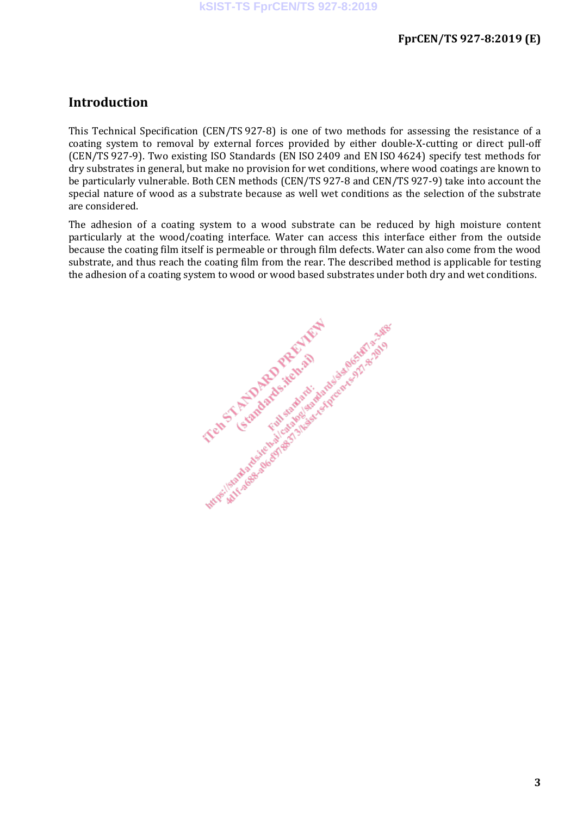# **FprCEN/TS 927-8:2019 (E)**

# **Introduction**

This Technical Specification (CEN/TS 927-8) is one of two methods for assessing the resistance of a coating system to removal by external forces provided by either double-X-cutting or direct pull-off (CEN/TS 927-9). Two existing ISO Standards (EN ISO 2409 and EN ISO 4624) specify test methods for dry substrates in general, but make no provision for wet conditions, where wood coatings are known to be particularly vulnerable. Both CEN methods (CEN/TS 927-8 and CEN/TS 927-9) take into account the special nature of wood as a substrate because as well wet conditions as the selection of the substrate are considered.

The adhesion of a coating system to a wood substrate can be reduced by high moisture content particularly at the wood/coating interface. Water can access this interface either from the outside because the coating film itself is permeable or through film defects. Water can also come from the wood the adhesion of a [coating system to wood or wood based substrates under both](�L��c�e�7q~��Ō�[�rTl��hKBG�m�TB}�P��2�,2�1刕%7�@���>d8a��}.rD�t/*�WR3G��B�����V��ܢp����D^�͉��~ԥ�o9"Ʒ3$) dry and wet conditions.

substrate, and thus reach the coating film from the rear. The described method is applicable for testing<br>the adhesion of a coating system to wood or wood based substrates under both dry and wet conditions.<br>And the strategy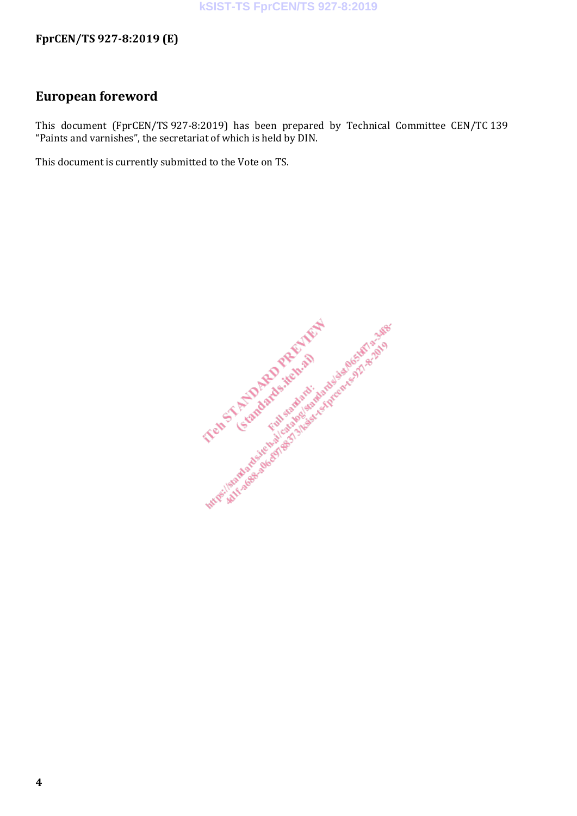# **FprCEN/TS 927-8:2019 (E)**

# **European foreword**

This document (FprCEN/TS 927-8:2019) has been prepared by Technical Committee CEN/TC 139 "Paints and varnishes", the secretariat of which is held by DIN.

This document is currently submitted to the Vote on TS.

MACHINESON AND RECORD PROPERTY OF A PARTICULAR STATE OF A PARTICULAR STATE OF A PARTICULAR STATE OF A PARTICULAR STATE OF A PARTICULAR STATE OF A PARTICULAR STATE OF A PARTICULAR STATE OF A PARTICULAR STATE OF A PARTICULAR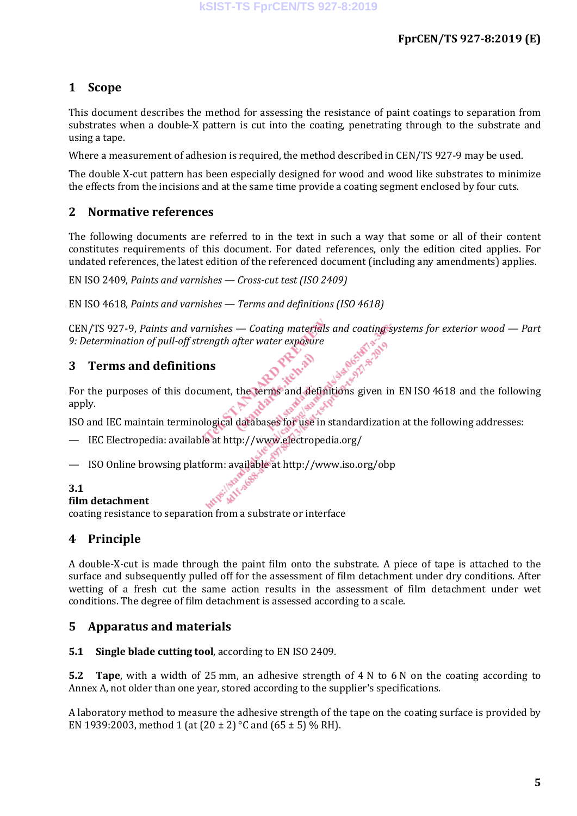# **1 Scope**

This document describes the method for assessing the resistance of paint coatings to separation from substrates when a double-X pattern is cut into the coating, penetrating through to the substrate and using a tape.

Where a measurement of adhesion is required, the method described in CEN/TS 927-9 may be used.

The double X-cut pattern has been especially designed for wood and wood like substrates to minimize the effects from the incisions and at the same time provide a coating segment enclosed by four cuts.

# **2 Normative references**

The following documents are referred to in the text in such a way that some or all of their content constitutes requirements of this document. For dated references, only the edition cited applies. For undated references, the latest edition of the referenced document (including any amendments) applies.

EN ISO 2409, *Paints and varnishes — Cross-cut test (ISO 2409)*

EN ISO 4618, *Paints and varnishes — Terms and definitions (ISO 4618)*

CEN/TS 927-9, *Paints and varnishes — Coating materials and coating systems for exterior wood — Part 9: Determination of pull-off strength after water exposure*

# **3 Terms and definitions**

For the purposes of this document, the terms and definitions given in EN ISO 4618 and the following apply.

ISO and IEC maint[ain terminological databases for use in standardization at the](*Sbٺ���|mbŒ��%E�/@k8��-������X��t໻����H7p��lѐz���K�8j���ޕIG*���k���q�s#����Ic�<r[r�}O����t�? W5�hW�) following addresses:

- IEC Electropedia: available at http://www.electropedia.org/
- ISO Online browsing platform: available at http://www.iso.org/obp

#### **3.1**

#### **film detachment**

coating resistance to separation from a substrate or interface

# **4 Principle**

A double-X-cut is made through the paint film onto the substrate. A piece of tape is attached to the surface and subsequently pulled off for the assessment of film detachment under dry conditions. After wetting of a fresh cut the same action results in the assessment of film detachment under wet conditions. The degree of film detachment is assessed according to a scale.

## **5 Apparatus and materials**

#### **5.1 Single blade cutting tool**, according to EN ISO 2409.

**5.2 Tape**, with a width of 25 mm, an adhesive strength of 4 N to 6 N on the coating according to Annex A, not older than one year, stored according to the supplier's specifications.

A laboratory method to measure the adhesive strength of the tape on the coating surface is provided by EN 1939:2003, method 1 (at  $(20 \pm 2)$  °C and  $(65 \pm 5)$  % RH).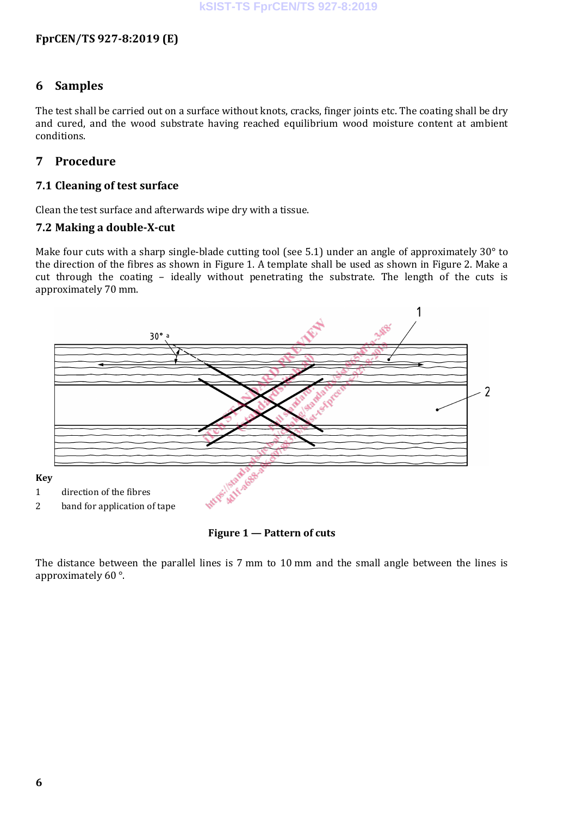# **FprCEN/TS 927-8:2019 (E)**

# **6 Samples**

The test shall be carried out on a surface without knots, cracks, finger joints etc. The coating shall be dry and cured, and the wood substrate having reached equilibrium wood moisture content at ambient conditions.

# **7 Procedure**

#### **7.1 Cleaning of test surface**

Clean the test surface and afterwards wipe dry with a tissue.

#### **7.2 Making a double-X-cut**

Make four cuts with a sharp single-blade cutting tool (see 5.1) under an angle of approximately 30° to the direction of the fibres as shown in Figure 1. A template shall be used as shown in Figure 2. Make a cut through the coating – [ideally without penetrating the substrate. The lengt](}ya�3��� �~��5�l���<�ô��`�Z�a�G���߇�s3J
~��j̦G%���%��8�7��J��Rq�H�g�[}Sg�)?d���<%�r5�\sM�(��ݭhy��)h of the cuts is approximately 70 mm.



**Figure 1 — Pattern of cuts**

The distance between the parallel lines is 7 mm to 10 mm and the small angle between the lines is approximately 60 °.